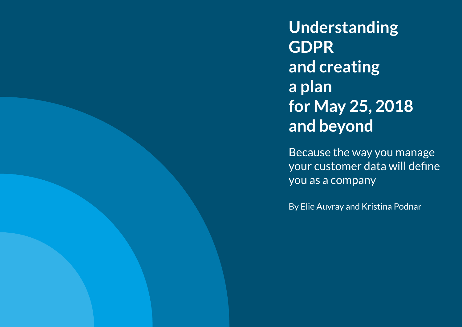**Understanding GDPR and creating a plan for May 25, 2018 and beyond**

Because the way you manage your customer data will define you as a company

By Elie Auvray and Kristina Podnar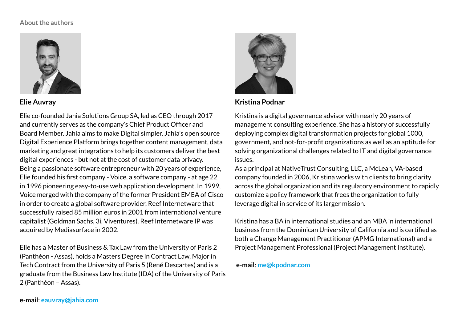#### **About the authors**



### **Elie Auvray**

Elie co-founded Jahia Solutions Group SA, led as CEO through 2017 and currently serves as the company's Chief Product Officer and Board Member. Jahia aims to make Digital simpler. Jahia's open source Digital Experience Platform brings together content management, data marketing and great integrations to help its customers deliver the best digital experiences - but not at the cost of customer data privacy. Being a passionate software entrepreneur with 20 years of experience, Elie founded his first company - Voice, a software company - at age 22 in 1996 pioneering easy-to-use web application development. In 1999, Voice merged with the company of the former President EMEA of Cisco in order to create a global software provider, Reef Internetware that successfully raised 85 million euros in 2001 from international venture capitalist (Goldman Sachs, 3i, Viventures). Reef Internetware IP was acquired by Mediasurface in 2002.

Elie has a Master of Business & Tax Law from the University of Paris 2 (Panthéon - Assas), holds a Masters Degree in Contract Law, Major in Tech Contract from the University of Paris 5 (René Descartes) and is a graduate from the Business Law Institute (IDA) of the University of Paris 2 (Panthéon – Assas).



### **Kristina Podnar**

Kristina is a digital governance advisor with nearly 20 years of management consulting experience. She has a history of successfully deploying complex digital transformation projects for global 1000, government, and not-for-profit organizations as well as an aptitude for solving organizational challenges related to IT and digital governance issues.

As a principal at NativeTrust Consulting, LLC, a McLean, VA-based company founded in 2006, Kristina works with clients to bring clarity across the global organization and its regulatory environment to rapidly customize a policy framework that frees the organization to fully leverage digital in service of its larger mission.

Kristina has a BA in international studies and an MBA in international business from the Dominican University of California and is certified as both a Change Management Practitioner (APMG International) and a Project Management Professional (Project Management Institute).

 **e-mail**: **[me@kpodnar.com](mailto:?subject=)**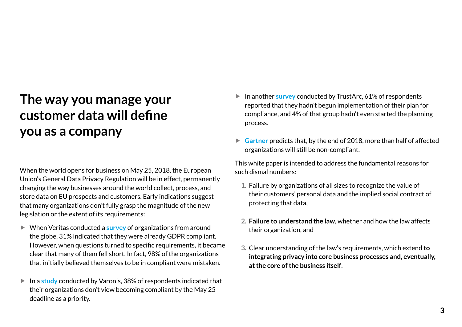## **The way you manage your customer data will define you as a company**

When the world opens for business on May 25, 2018, the European Union's General Data Privacy Regulation will be in effect, permanently changing the way businesses around the world collect, process, and store data on EU prospects and customers. Early indications suggest that many organizations don't fully grasp the magnitude of the new legislation or the extent of its requirements:

- ▶ When Veritas conducted a **[survey](https://www.helpnetsecurity.com/2017/07/26/gdpr-readiness/)** of organizations from around the globe, 31% indicated that they were already GDPR compliant. However, when questions turned to specific requirements, it became clear that many of them fell short. In fact, 98% of the organizations that initially believed themselves to be in compliant were mistaken.
- $\blacktriangleright$  In a [study](https://betanews.com/2017/12/06/organizations-not-ready-for-gdpr/) conducted by Varonis, 38% of respondents indicated that their organizations don't view becoming compliant by the May 25 deadline as a priority.
- **F** In another **[survey](https://iapp.org/news/a/survey-61-percent-of-companies-have-not-started-gdpr-implementation/)** conducted by TrustArc, 61% of respondents reported that they hadn't begun implementation of their plan for compliance, and 4% of that group hadn't even started the planning process.
- **► [Gartner](https://www.gartner.com/newsroom/id/3701117)** predicts that, by the end of 2018, more than half of affected organizations will still be non-compliant.

This white paper is intended to address the fundamental reasons for such dismal numbers:

- **1.** Failure by organizations of all sizes to recognize the value of their customers' personal data and the implied social contract of protecting that data,
- **2. Failure to understand the law**, whether and how the law affects their organization, and
- **3.** Clear understanding of the law's requirements, which extend **to integrating privacy into core business processes and, eventually, at the core of the business itself**.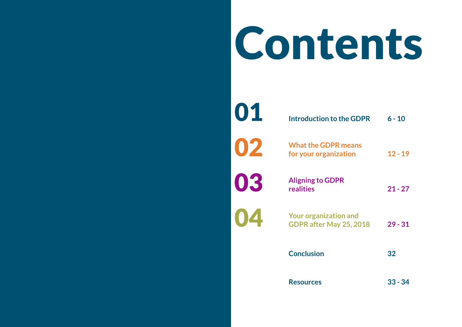# Contents

| 01 | <b>Introduction to the GDPR</b>                         | $6 - 10$  |
|----|---------------------------------------------------------|-----------|
| 02 | <b>What the GDPR means</b><br>for your organization     | $12 - 19$ |
| 03 | <b>Aligning to GDPR</b><br>realities                    | $21 - 27$ |
| 04 | <b>Your organization and</b><br>GDPR after May 25, 2018 | $29 - 31$ |
|    | <b>Conclusion</b>                                       | 32        |
|    | <b>Resources</b>                                        | $33 - 34$ |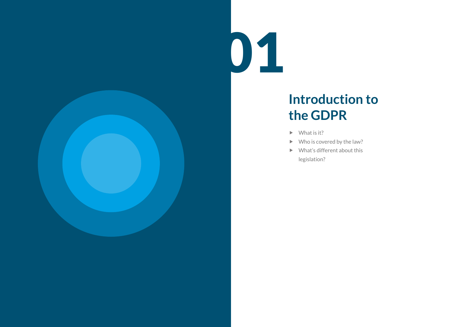

# **Introduction to the GDPR**

- $\blacktriangleright$  What is it?
- $\blacktriangleright$  Who is covered by the law?
- $\blacktriangleright$  What's different about this legislation?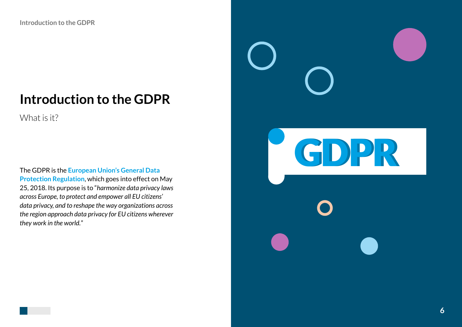### **Introduction to the GDPR**

What is it?

The GDPR is the **[European Union's General Data](https://www.eugdpr.org/)  [Protection Regulation](https://www.eugdpr.org/)**, which goes into effect on May 25, 2018. Its purpose is to "*harmonize data privacy laws across Europe, to protect and empower all EU citizens' data privacy, and to reshape the way organizations across the region approach data privacy for EU citizens wherever they work in the world.*"

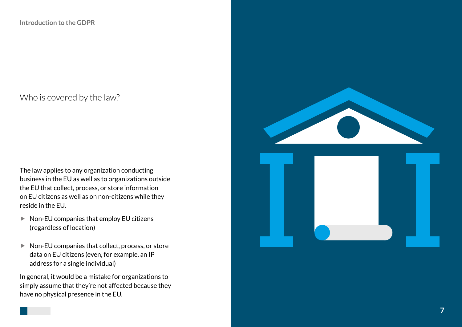### Who is covered by the law?

The law applies to any organization conducting business in the EU as well as to organizations outside the EU that collect, process, or store information on EU citizens as well as on non-citizens while they reside in the EU.

- $\blacktriangleright$  Non-EU companies that employ EU citizens (regardless of location)
- $\blacktriangleright$  Non-EU companies that collect, process, or store data on EU citizens (even, for example, an IP address for a single individual)

In general, it would be a mistake for organizations to simply assume that they're not affected because they have no physical presence in the EU.

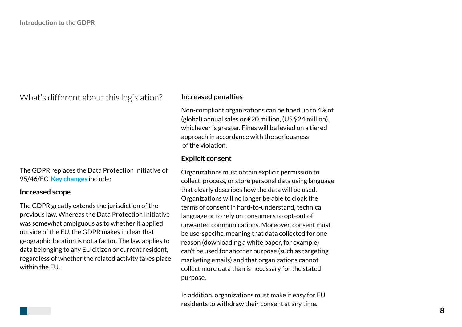What's different about this legislation?

The GDPR replaces the Data Protection Initiative of 95/46/EC. **[Key changes](https://www.eugdpr.org/key-changes.html)** include:

#### **Increased scope**

The GDPR greatly extends the jurisdiction of the previous law. Whereas the Data Protection Initiative was somewhat ambiguous as to whether it applied outside of the EU, the GDPR makes it clear that geographic location is not a factor. The law applies to data belonging to any EU citizen or current resident, regardless of whether the related activity takes place within the EU.

#### **Increased penalties**

Non-compliant organizations can be fined up to 4% of (global) annual sales or €20 million, (US \$24 million), whichever is greater. Fines will be levied on a tiered approach in accordance with the seriousness of the violation.

### **Explicit consent**

Organizations must obtain explicit permission to collect, process, or store personal data using language that clearly describes how the data will be used. Organizations will no longer be able to cloak the terms of consent in hard-to-understand, technical language or to rely on consumers to opt-out of unwanted communications. Moreover, consent must be use-specific, meaning that data collected for one reason (downloading a white paper, for example) can't be used for another purpose (such as targeting marketing emails) and that organizations cannot collect more data than is necessary for the stated purpose.

In addition, organizations must make it easy for EU residents to withdraw their consent at any time.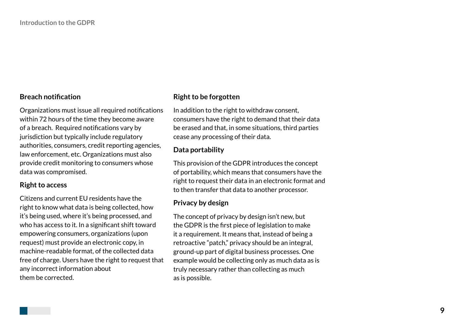### **Breach notification**

Organizations must issue all required notifications within 72 hours of the time they become aware of a breach. Required notifications vary by jurisdiction but typically include regulatory authorities, consumers, credit reporting agencies, law enforcement, etc. Organizations must also provide credit monitoring to consumers whose data was compromised.

#### **Right to access**

Citizens and current EU residents have the right to know what data is being collected, how it's being used, where it's being processed, and who has access to it. In a significant shift toward empowering consumers, organizations (upon request) must provide an electronic copy, in machine-readable format, of the collected data free of charge. Users have the right to request that any incorrect information about them be corrected.

### **Right to be forgotten**

In addition to the right to withdraw consent, consumers have the right to demand that their data be erased and that, in some situations, third parties cease any processing of their data.

### **Data portability**

This provision of the GDPR introduces the concept of portability, which means that consumers have the right to request their data in an electronic format and to then transfer that data to another processor.

### **Privacy by design**

The concept of privacy by design isn't new, but the GDPR is the first piece of legislation to make it a requirement. It means that, instead of being a retroactive "patch," privacy should be an integral, ground-up part of digital business processes. One example would be collecting only as much data as is truly necessary rather than collecting as much as is possible.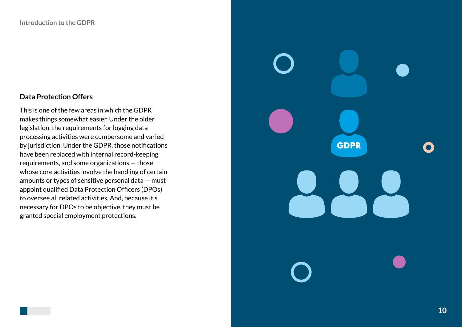### **Data Protection Offers**

This is one of the few areas in which the GDPR makes things somewhat easier. Under the older legislation, the requirements for logging data processing activities were cumbersome and varied by jurisdiction. Under the GDPR, those notifications have been replaced with internal record-keeping requirements, and some organizations — those whose core activities involve the handling of certain amounts or types of sensitive personal data — must appoint qualified Data Protection Officers (DPOs) to oversee all related activities. And, because it's necessary for DPOs to be objective, they must be granted special employment protections.

**GDPR**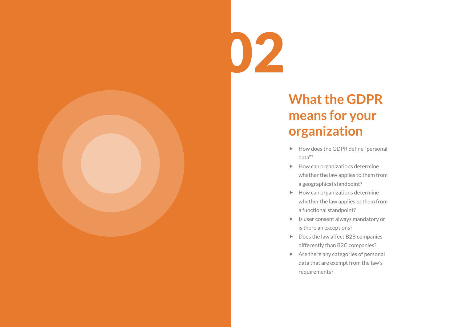

# **What the GDPR means for your organization**

- $\blacktriangleright$  How does the GDPR define "personal data"?
- $\blacktriangleright$  How can organizations determine whether the law applies to them from a geographical standpoint?
- $\blacktriangleright$  How can organizations determine whether the law applies to them from a functional standpoint?
- $\blacktriangleright$  Is user consent always mandatory or is there an exceptions?
- $\triangleright$  Does the law affect B2B companies differently than B2C companies?
- $\triangleright$  Are there any categories of personal data that are exempt from the law's requirements?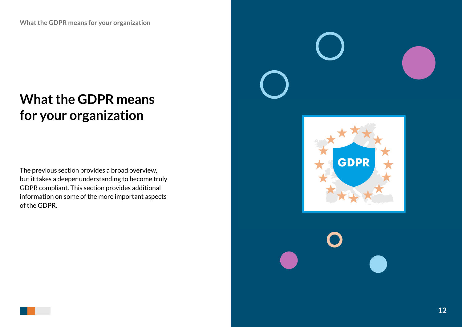### **What the GDPR means for your organization**

The previous section provides a broad overview, but it takes a deeper understanding to become truly GDPR compliant. This section provides additional information on some of the more important aspects of the GDPR.

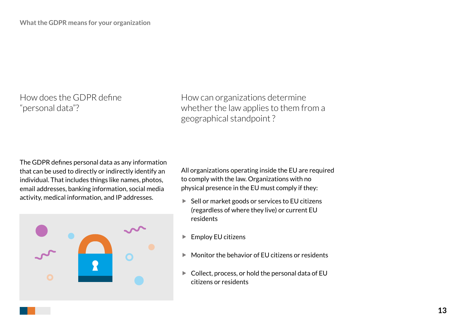How does the GDPR define "personal data"?

How can organizations determine whether the law applies to them from a geographical standpoint ?

The GDPR defines personal data as any information that can be used to directly or indirectly identify an individual. That includes things like names, photos, email addresses, banking information, social media activity, medical information, and IP addresses.



All organizations operating inside the EU are required to comply with the law. Organizations with no physical presence in the EU must comply if they:

- $\blacktriangleright$  Sell or market goods or services to EU citizens (regardless of where they live) or current EU residents
- $\blacktriangleright$  Employ EU citizens
- $\blacktriangleright$  Monitor the behavior of EU citizens or residents
- $\blacktriangleright$  Collect, process, or hold the personal data of EU citizens or residents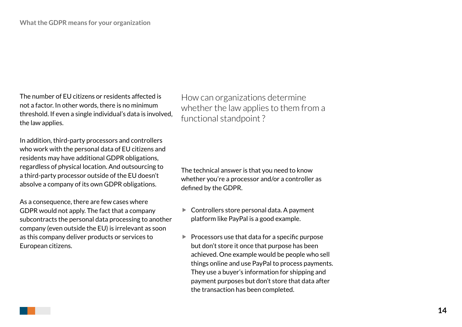The number of EU citizens or residents affected is not a factor. In other words, there is no minimum threshold. If even a single individual's data is involved, the law applies.

In addition, third-party processors and controllers who work with the personal data of EU citizens and residents may have additional GDPR obligations, regardless of physical location. And outsourcing to a third-party processor outside of the EU doesn't absolve a company of its own GDPR obligations.

As a consequence, there are few cases where GDPR would not apply. The fact that a company subcontracts the personal data processing to another company (even outside the EU) is irrelevant as soon as this company deliver products or services to European citizens.

How can organizations determine whether the law applies to them from a functional standpoint ?

The technical answer is that you need to know whether you're a processor and/or a controller as defined by the GDPR.

- $\blacktriangleright$  Controllers store personal data. A payment platform like PayPal is a good example.
- $\blacktriangleright$  Processors use that data for a specific purpose but don't store it once that purpose has been achieved. One example would be people who sell things online and use PayPal to process payments. They use a buyer's information for shipping and payment purposes but don't store that data after the transaction has been completed.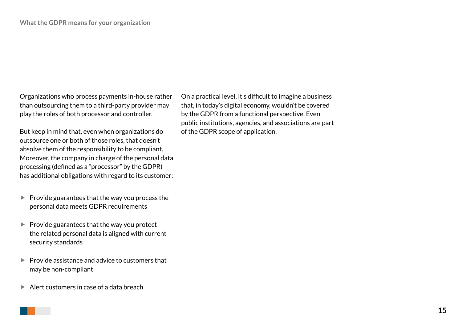Organizations who process payments in-house rather than outsourcing them to a third-party provider may play the roles of both processor and controller.

But keep in mind that, even when organizations do outsource one or both of those roles, that doesn't absolve them of the responsibility to be compliant. Moreover, the company in charge of the personal data processing (defined as a "processor" by the GDPR) has additional obligations with regard to its customer:

- $\blacktriangleright$  Provide guarantees that the way you process the personal data meets GDPR requirements
- $\blacktriangleright$  Provide guarantees that the way you protect the related personal data is aligned with current security standards
- $\blacktriangleright$  Provide assistance and advice to customers that may be non-compliant
- $\blacktriangleright$  Alert customers in case of a data breach

On a practical level, it's difficult to imagine a business that, in today's digital economy, wouldn't be covered by the GDPR from a functional perspective. Even public institutions, agencies, and associations are part of the GDPR scope of application.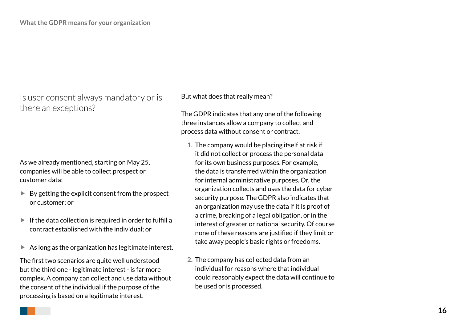Is user consent always mandatory or is there an exceptions?

As we already mentioned, starting on May 25, companies will be able to collect prospect or customer data:

- $\blacktriangleright$  By getting the explicit consent from the prospect or customer; or
- $\blacktriangleright$  If the data collection is required in order to fulfill a contract established with the individual; or
- $\blacktriangleright$  As long as the organization has legitimate interest.

The first two scenarios are quite well understood but the third one - legitimate interest - is far more complex. A company can collect and use data without the consent of the individual if the purpose of the processing is based on a legitimate interest.

#### But what does that really mean?

The GDPR indicates that any one of the following three instances allow a company to collect and process data without consent or contract.

- **1.** The company would be placing itself at risk if it did not collect or process the personal data for its own business purposes. For example, the data is transferred within the organization for internal administrative purposes. Or, the organization collects and uses the data for cyber security purpose. The GDPR also indicates that an organization may use the data if it is proof of a crime, breaking of a legal obligation, or in the interest of greater or national security. Of course none of these reasons are justified if they limit or take away people's basic rights or freedoms.
- **2.** The company has collected data from an individual for reasons where that individual could reasonably expect the data will continue to be used or is processed.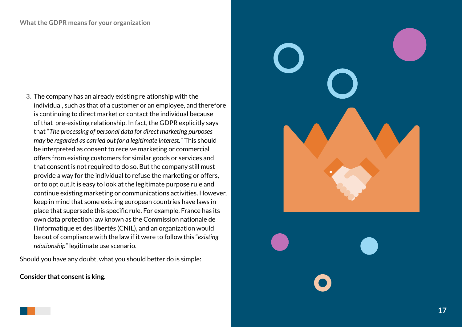**3.** The company has an already existing relationship with the individual, such as that of a customer or an employee, and therefore is continuing to direct market or contact the individual because of that pre-existing relationship. In fact, the GDPR explicitly says that "*The processing of personal data for direct marketing purposes may be regarded as carried out for a legitimate interest.*" This should be interpreted as consent to receive marketing or commercial offers from existing customers for similar goods or services and that consent is not required to do so. But the company still must provide a way for the individual to refuse the marketing or offers, or to opt out.It is easy to look at the legitimate purpose rule and continue existing marketing or communications activities. However, keep in mind that some existing european countries have laws in place that supersede this specific rule. For example, France has its own data protection law known as the Commission nationale de l'informatique et des libertés (CNIL), and an organization would be out of compliance with the law if it were to follow this "*existing relationship*" legitimate use scenario.

Should you have any doubt, what you should better do is simple:

**Consider that consent is king.**

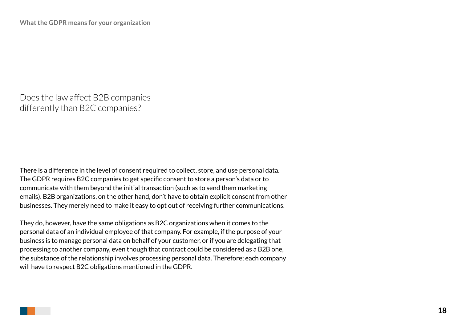Does the law affect B2B companies differently than B2C companies?

There is a difference in the level of consent required to collect, store, and use personal data. The GDPR requires B2C companies to get specific consent to store a person's data or to communicate with them beyond the initial transaction (such as to send them marketing emails). B2B organizations, on the other hand, don't have to obtain explicit consent from other businesses. They merely need to make it easy to opt out of receiving further communications.

They do, however, have the same obligations as B2C organizations when it comes to the personal data of an individual employee of that company. For example, if the purpose of your business is to manage personal data on behalf of your customer, or if you are delegating that processing to another company, even though that contract could be considered as a B2B one, the substance of the relationship involves processing personal data. Therefore; each company will have to respect B2C obligations mentioned in the GDPR.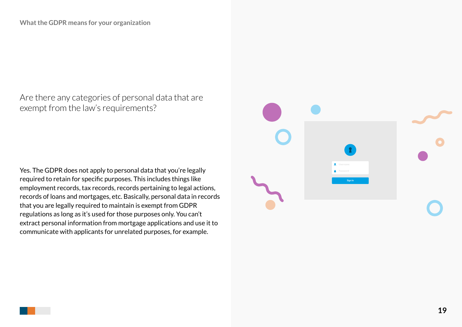Are there any categories of personal data that are exempt from the law's requirements?

Yes. The GDPR does not apply to personal data that you're legally required to retain for specific purposes. This includes things like employment records, tax records, records pertaining to legal actions, records of loans and mortgages, etc. Basically, personal data in records that you are legally required to maintain is exempt from GDPR regulations as long as it's used for those purposes only. You can't extract personal information from mortgage applications and use it to communicate with applicants for unrelated purposes, for example.

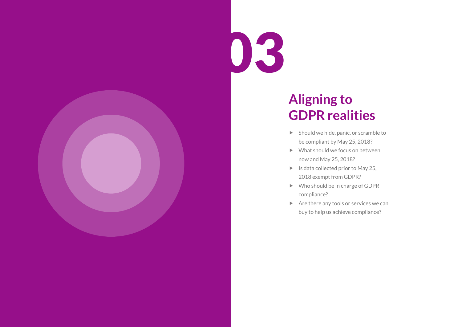

## **Aligning to GDPR realities**

- $\blacktriangleright$  Should we hide, panic, or scramble to be compliant by May 25, 2018?
- $\blacktriangleright$  What should we focus on between now and May 25, 2018?
- $\blacktriangleright$  Is data collected prior to May 25, 2018 exempt from GDPR?
- $\blacktriangleright$  Who should be in charge of GDPR compliance?
- $\blacktriangleright$  Are there any tools or services we can buy to help us achieve compliance?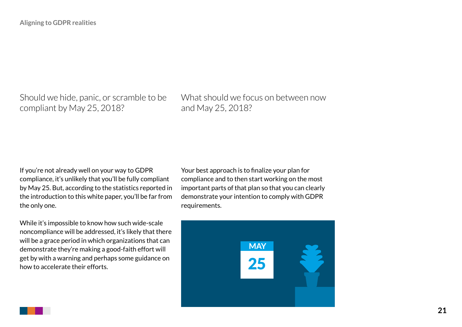Should we hide, panic, or scramble to be compliant by May 25, 2018?

What should we focus on between now and May 25, 2018?

If you're not already well on your way to GDPR compliance, it's unlikely that you'll be fully compliant by May 25. But, according to the statistics reported in the introduction to this white paper, you'll be far from the only one.

While it's impossible to know how such wide-scale noncompliance will be addressed, it's likely that there will be a grace period in which organizations that can demonstrate they're making a good-faith effort will get by with a warning and perhaps some guidance on how to accelerate their efforts.

Your best approach is to finalize your plan for compliance and to then start working on the most important parts of that plan so that you can clearly demonstrate your intention to comply with GDPR requirements.

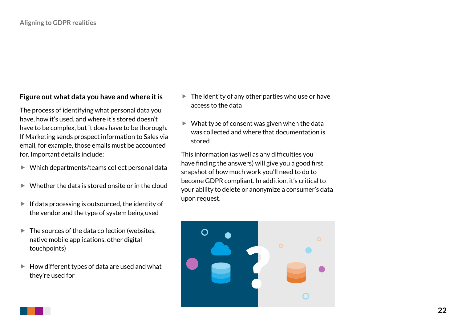### **Figure out what data you have and where it is**

The process of identifying what personal data you have, how it's used, and where it's stored doesn't have to be complex, but it does have to be thorough. If Marketing sends prospect information to Sales via email, for example, those emails must be accounted for. Important details include:

- $\blacktriangleright$  Which departments/teams collect personal data
- $\blacktriangleright$  Whether the data is stored onsite or in the cloud
- $\blacktriangleright$  If data processing is outsourced, the identity of the vendor and the type of system being used
- $\blacktriangleright$  The sources of the data collection (websites, native mobile applications, other digital touchpoints)
- $\blacktriangleright$  How different types of data are used and what they're used for
- $\blacktriangleright$  The identity of any other parties who use or have access to the data
- $\blacktriangleright$  What type of consent was given when the data was collected and where that documentation is stored

This information (as well as any difficulties you have finding the answers) will give you a good first snapshot of how much work you'll need to do to become GDPR compliant. In addition, it's critical to your ability to delete or anonymize a consumer's data upon request.

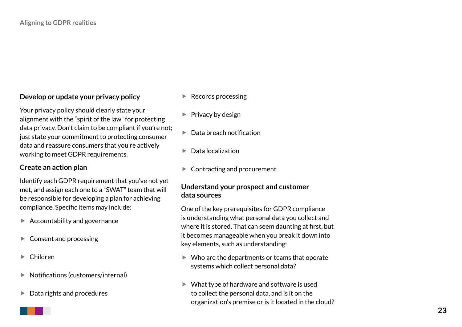### **Develop or update your privacy policy**

Your privacy policy should clearly state your alignment with the "spirit of the law" for protecting data privacy. Don't claim to be compliant if you're not; just state your commitment to protecting consumer data and reassure consumers that you're actively working to meet GDPR requirements.

### **Create an action plan**

Identify each GDPR requirement that you've not yet met, and assign each one to a "SWAT" team that will be responsible for developing a plan for achieving compliance. Specific items may include:

- $\blacktriangleright$  Accountability and governance
- $\blacktriangleright$  Consent and processing
- $\blacktriangleright$  Children
- $\blacktriangleright$  Notifications (customers/internal)
- $\blacktriangleright$  Data rights and procedures
- $\blacktriangleright$  Records processing
- $\blacktriangleright$  Privacy by design
- $\blacktriangleright$  Data breach notification
- $\blacktriangleright$  Data localization
- $\blacktriangleright$  Contracting and procurement

### **Understand your prospect and customer data sources**

One of the key prerequisites for GDPR compliance is understanding what personal data you collect and where it is stored. That can seem daunting at first, but it becomes manageable when you break it down into key elements, such as understanding:

- $\blacktriangleright$  Who are the departments or teams that operate systems which collect personal data?
- $\blacktriangleright$  What type of hardware and software is used to collect the personal data, and is it on the organization's premise or is it located in the cloud?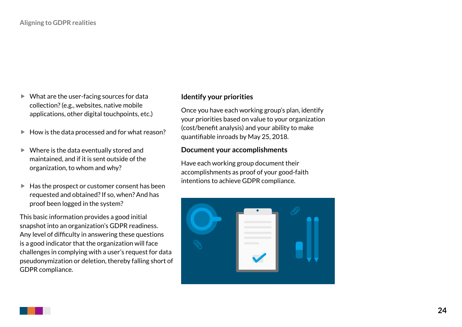- $\blacktriangleright$  What are the user-facing sources for data collection? (e.g., websites, native mobile applications, other digital touchpoints, etc.)
- $\blacktriangleright$  How is the data processed and for what reason?
- $\blacktriangleright$  Where is the data eventually stored and maintained, and if it is sent outside of the organization, to whom and why?
- $\blacktriangleright$  Has the prospect or customer consent has been requested and obtained? If so, when? And has proof been logged in the system?

This basic information provides a good initial snapshot into an organization's GDPR readiness. Any level of difficulty in answering these questions is a good indicator that the organization will face challenges in complying with a user's request for data pseudonymization or deletion, thereby falling short of GDPR compliance.

### **Identify your priorities**

Once you have each working group's plan, identify your priorities based on value to your organization (cost/benefit analysis) and your ability to make quantifiable inroads by May 25, 2018.

#### **Document your accomplishments**

Have each working group document their accomplishments as proof of your good-faith intentions to achieve GDPR compliance.

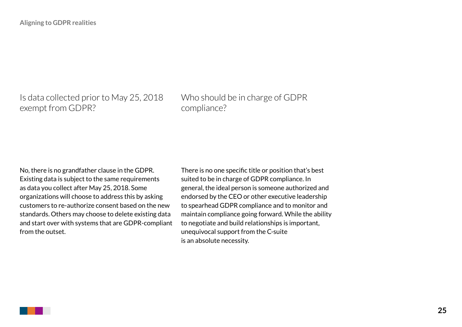Is data collected prior to May 25, 2018 exempt from GDPR?

Who should be in charge of GDPR compliance?

No, there is no grandfather clause in the GDPR. Existing data is subject to the same requirements as data you collect after May 25, 2018. Some organizations will choose to address this by asking customers to re-authorize consent based on the new standards. Others may choose to delete existing data and start over with systems that are GDPR-compliant from the outset.

There is no one specific title or position that's best suited to be in charge of GDPR compliance. In general, the ideal person is someone authorized and endorsed by the CEO or other executive leadership to spearhead GDPR compliance and to monitor and maintain compliance going forward. While the ability to negotiate and build relationships is important, unequivocal support from the C-suite is an absolute necessity.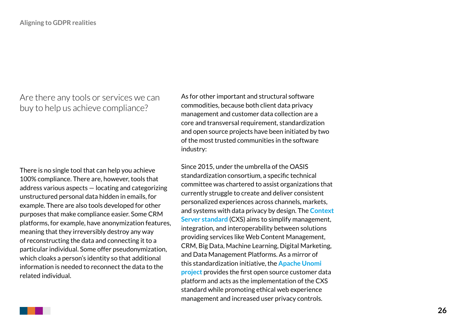Are there any tools or services we can buy to help us achieve compliance?

There is no single tool that can help you achieve 100% compliance. There are, however, tools that address various aspects — locating and categorizing unstructured personal data hidden in emails, for example. There are also tools developed for other purposes that make compliance easier. Some CRM platforms, for example, have anonymization features, meaning that they irreversibly destroy any way of reconstructing the data and connecting it to a particular individual. Some offer pseudonymization, which cloaks a person's identity so that additional information is needed to reconnect the data to the related individual.

As for other important and structural software commodities, because both client data privacy management and customer data collection are a core and transversal requirement, standardization and open source projects have been initiated by two of the most trusted communities in the software industry:

Since 2015, under the umbrella of the OASIS standardization consortium, a specific technical committee was chartered to assist organizations that currently struggle to create and deliver consistent personalized experiences across channels, markets, and systems with data privacy by design. The **[Context](https://www.oasis-open.org/committees/tc_home.php?wg_abbrev=cxs)  [Server standard](https://www.oasis-open.org/committees/tc_home.php?wg_abbrev=cxs)** (CXS) aims to simplify management, integration, and interoperability between solutions providing services like Web Content Management, CRM, Big Data, Machine Learning, Digital Marketing, and Data Management Platforms. As a mirror of this standardization initiative, the **[Apache Unomi](http://unomi.incubator.apache.org/)  [project](http://unomi.incubator.apache.org/)** provides the first open source customer data platform and acts as the implementation of the CXS standard while promoting ethical web experience management and increased user privacy controls.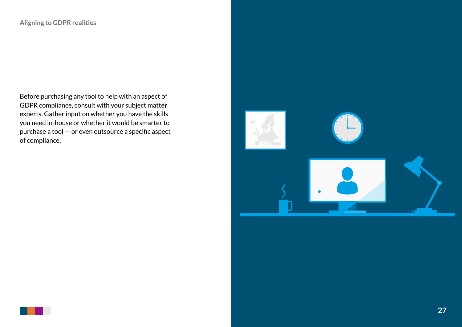Before purchasing any tool to help with an aspect of GDPR compliance, consult with your subject matter experts. Gather input on whether you have the skills you need in-house or whether it would be smarter to purchase a tool — or even outsource a specific aspect of compliance.

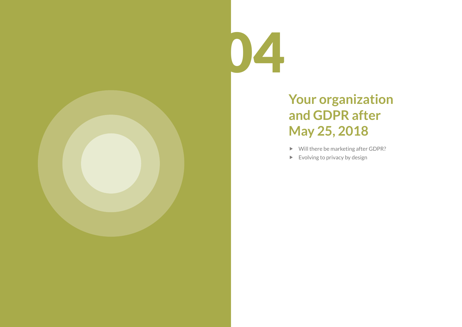

# **Your organization and GDPR after May 25, 2018**

- $\blacktriangleright$  Will there be marketing after GDPR?
- $\blacktriangleright$  Evolving to privacy by design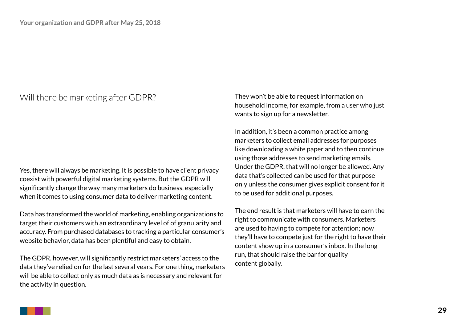### Will there be marketing after GDPR?

Yes, there will always be marketing. It is possible to have client privacy coexist with powerful digital marketing systems. But the GDPR will significantly change the way many marketers do business, especially when it comes to using consumer data to deliver marketing content.

Data has transformed the world of marketing, enabling organizations to target their customers with an extraordinary level of of granularity and accuracy. From purchased databases to tracking a particular consumer's website behavior, data has been plentiful and easy to obtain.

The GDPR, however, will significantly restrict marketers' access to the data they've relied on for the last several years. For one thing, marketers will be able to collect only as much data as is necessary and relevant for the activity in question.

They won't be able to request information on household income, for example, from a user who just wants to sign up for a newsletter.

In addition, it's been a common practice among marketers to collect email addresses for purposes like downloading a white paper and to then continue using those addresses to send marketing emails. Under the GDPR, that will no longer be allowed. Any data that's collected can be used for that purpose only unless the consumer gives explicit consent for it to be used for additional purposes.

The end result is that marketers will have to earn the right to communicate with consumers. Marketers are used to having to compete for attention; now they'll have to compete just for the right to have their content show up in a consumer's inbox. In the long run, that should raise the bar for quality content globally.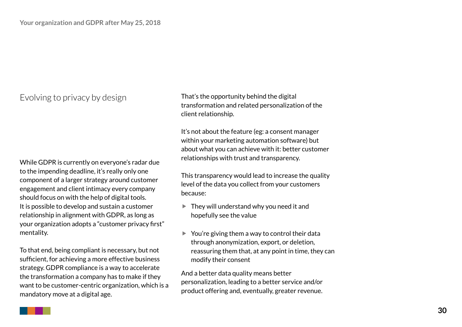### Evolving to privacy by design

While GDPR is currently on everyone's radar due to the impending deadline, it's really only one component of a larger strategy around customer engagement and client intimacy every company should focus on with the help of digital tools. It is possible to develop and sustain a customer relationship in alignment with GDPR, as long as your organization adopts a "customer privacy first" mentality.

To that end, being compliant is necessary, but not sufficient, for achieving a more effective business strategy. GDPR compliance is a way to accelerate the transformation a company has to make if they want to be customer-centric organization, which is a mandatory move at a digital age.

That's the opportunity behind the digital transformation and related personalization of the client relationship.

It's not about the feature (eg: a consent manager within your marketing automation software) but about what you can achieve with it: better customer relationships with trust and transparency.

This transparency would lead to increase the quality level of the data you collect from your customers because:

- $\blacktriangleright$  They will understand why you need it and hopefully see the value
- $\blacktriangleright$  You're giving them a way to control their data through anonymization, export, or deletion, reassuring them that, at any point in time, they can modify their consent

And a better data quality means better personalization, leading to a better service and/or product offering and, eventually, greater revenue.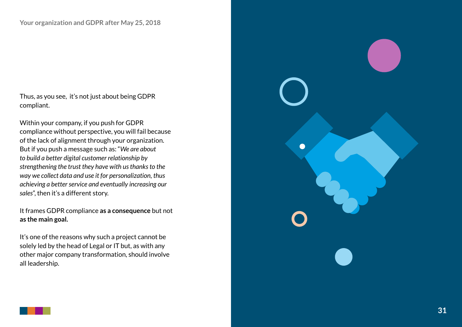Thus, as you see, it's not just about being GDPR compliant.

Within your company, if you push for GDPR compliance without perspective, you will fail because of the lack of alignment through your organization. But if you push a message such as: "*We are about to build a better digital customer relationship by strengthening the trust they have with us thanks to the way we collect data and use it for personalization, thus achieving a better service and eventually increasing our sales*", then it's a different story.

It frames GDPR compliance **as a consequence** but not **as the main goal.**

It's one of the reasons why such a project cannot be solely led by the head of Legal or IT but, as with any other major company transformation, should involve all leadership.

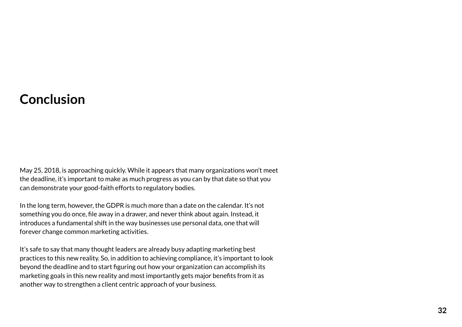### **Conclusion**

May 25, 2018, is approaching quickly. While it appears that many organizations won't meet the deadline, it's important to make as much progress as you can by that date so that you can demonstrate your good-faith efforts to regulatory bodies.

In the long term, however, the GDPR is much more than a date on the calendar. It's not something you do once, file away in a drawer, and never think about again. Instead, it introduces a fundamental shift in the way businesses use personal data, one that will forever change common marketing activities.

It's safe to say that many thought leaders are already busy adapting marketing best practices to this new reality. So, in addition to achieving compliance, it's important to look beyond the deadline and to start figuring out how your organization can accomplish its marketing goals in this new reality and most importantly gets major benefits from it as another way to strengthen a client centric approach of your business.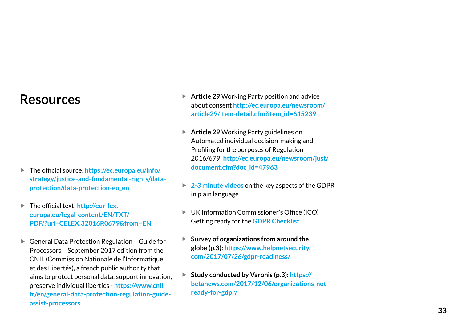### **Resources**

- ▶ The official source: **[https://ec.europa.eu/info/](https://ec.europa.eu/info/strategy/justice-and-fundamental-rights/data-protection/data-protection-eu_en) [strategy/justice-and-fundamental-rights/data](https://ec.europa.eu/info/strategy/justice-and-fundamental-rights/data-protection/data-protection-eu_en)[protection/data-protection-eu\\_en](https://ec.europa.eu/info/strategy/justice-and-fundamental-rights/data-protection/data-protection-eu_en)**
- ▶ The official text: **[http://eur-lex.](http://eur-lex.europa.eu/legal-content/EN/TXT/PDF/?uri=CELEX:32016R0679&from=EN) [europa.eu/legal-content/EN/TXT/](http://eur-lex.europa.eu/legal-content/EN/TXT/PDF/?uri=CELEX:32016R0679&from=EN) [PDF/?uri=CELEX:32016R0679&from=EN](http://eur-lex.europa.eu/legal-content/EN/TXT/PDF/?uri=CELEX:32016R0679&from=EN)**
- $\blacktriangleright$  General Data Protection Regulation Guide for Processors – September 2017 edition from the CNIL (Commission Nationale de l'Informatique et des Libertés), a french public authority that aims to protect personal data, support innovation, preserve individual liberties - **[https://www.cnil.](http://eur-lex.europa.eu/legal-content/EN/TXT/PDF/?uri=CELEX:32016R0679&from=EN) [fr/en/general-data-protection-regulation-guide](http://eur-lex.europa.eu/legal-content/EN/TXT/PDF/?uri=CELEX:32016R0679&from=EN)[assist-processors](http://eur-lex.europa.eu/legal-content/EN/TXT/PDF/?uri=CELEX:32016R0679&from=EN)**
- ▶ Article 29 Working Party position and advice about consent **[http://ec.europa.eu/newsroom/](http://ec.europa.eu/newsroom/article29/item-detail.cfm?item_id=615239) [article29/item-detail.cfm?item\\_id=615239](http://ec.europa.eu/newsroom/article29/item-detail.cfm?item_id=615239)**
- ▶ **Article 29** Working Party guidelines on Automated individual decision-making and Profiling for the purposes of Regulation 2016/679: **http://ec.europa.eu/newsroom/just/ document.cfm?doc\_id=47963**
- **► [2-3 minute videos](https://www.kpodnar.com/gdpr-videos) on the key aspects of the GDPR** in plain language
- ▶ UK Information Commissioner's Office (ICO) Getting ready for the **[GDPR Checklist](https://ico.org.uk/for-organisations/resources-and-support/data-protection-self-assessment/getting-ready-for-the-gdpr/)**
- ▶ Survey of organizations from around the **globe (p.3): [https://www.helpnetsecurity.](https://www.helpnetsecurity.com/2017/07/26/gdpr-readiness/) [com/2017/07/26/gdpr-readiness/](https://www.helpnetsecurity.com/2017/07/26/gdpr-readiness/)**
- ▶ Study conducted by Varonis (p.3)[:](https://www.helpnetsecurity.com/2017/07/26/gdpr-readiness/) https:// **betanews.com/2017/12/06/organizations-notready-for-gdpr/**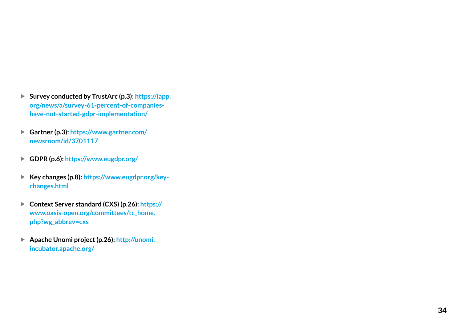- ▶ Survey conducted by TrustArc (p.3): https://iapp. **org/news/a/survey-61-percent-of-companieshave-not-started-gdpr-implementation/**
- ▶ Gartner (p.3): https://www.gartner.com/ **newsroom/id/3701117**
- f **GDPR (p.6): https://www.eugdpr.org/**
- ▶ Key changes (p.8): https://www.eugdpr.org/key**changes.html**
- ▶ Context Server standard (CXS) (p.26): https:// **www.oasis-open.org/committees/tc\_home. php?wg\_abbrev=cxs**
- ▶ Apache Unomi project (p.26): http://unomi. **incubator.apache.org/**